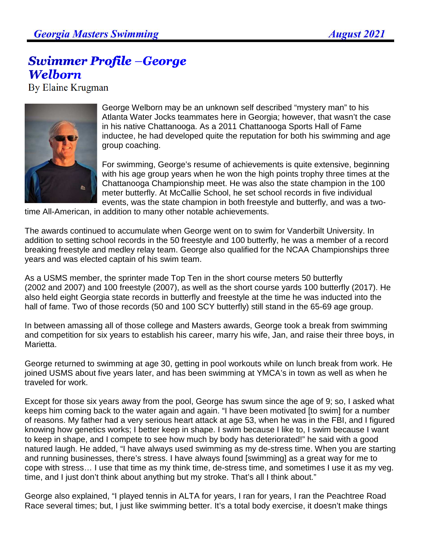## **Swimmer Profile –George Welborn**

By Elaine Krugman



George Welborn may be an unknown self described "mystery man" to his Atlanta Water Jocks teammates here in Georgia; however, that wasn't the case in his native Chattanooga. As a 2011 Chattanooga Sports Hall of Fame inductee, he had developed quite the reputation for both his swimming and age group coaching.

For swimming, George's resume of achievements is quite extensive, beginning with his age group years when he won the high points trophy three times at the Chattanooga Championship meet. He was also the state champion in the 100 meter butterfly. At McCallie School, he set school records in five individual events, was the state champion in both freestyle and butterfly, and was a two-

time All-American, in addition to many other notable achievements.

The awards continued to accumulate when George went on to swim for Vanderbilt University. In addition to setting school records in the 50 freestyle and 100 butterfly, he was a member of a record breaking freestyle and medley relay team. George also qualified for the NCAA Championships three years and was elected captain of his swim team.

As a USMS member, the sprinter made Top Ten in the short course meters 50 butterfly (2002 and 2007) and 100 freestyle (2007), as well as the short course yards 100 butterfly (2017). He also held eight Georgia state records in butterfly and freestyle at the time he was inducted into the hall of fame. Two of those records (50 and 100 SCY butterfly) still stand in the 65-69 age group.

In between amassing all of those college and Masters awards, George took a break from swimming and competition for six years to establish his career, marry his wife, Jan, and raise their three boys, in Marietta.

George returned to swimming at age 30, getting in pool workouts while on lunch break from work. He joined USMS about five years later, and has been swimming at YMCA's in town as well as when he traveled for work.

Except for those six years away from the pool, George has swum since the age of 9; so, I asked what keeps him coming back to the water again and again. "I have been motivated [to swim] for a number of reasons. My father had a very serious heart attack at age 53, when he was in the FBI, and I figured knowing how genetics works; I better keep in shape. I swim because I like to, I swim because I want to keep in shape, and I compete to see how much by body has deteriorated!" he said with a good natured laugh. He added, "I have always used swimming as my de-stress time. When you are starting and running businesses, there's stress. I have always found [swimming] as a great way for me to cope with stress… I use that time as my think time, de-stress time, and sometimes I use it as my veg. time, and I just don't think about anything but my stroke. That's all I think about."

George also explained, "I played tennis in ALTA for years, I ran for years, I ran the Peachtree Road Race several times; but, I just like swimming better. It's a total body exercise, it doesn't make things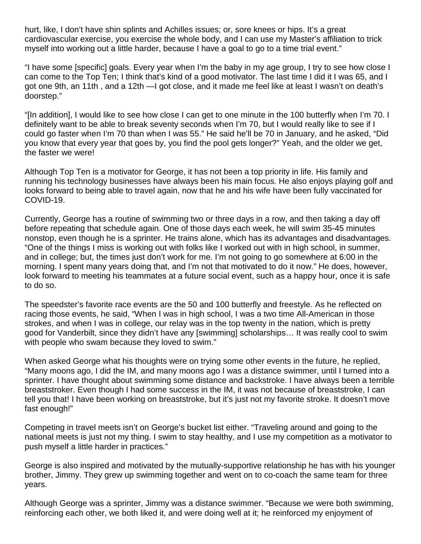hurt, like, I don't have shin splints and Achilles issues; or, sore knees or hips. It's a great cardiovascular exercise, you exercise the whole body, and I can use my Master's affiliation to trick myself into working out a little harder, because I have a goal to go to a time trial event."

"I have some [specific] goals. Every year when I'm the baby in my age group, I try to see how close I can come to the Top Ten; I think that's kind of a good motivator. The last time I did it I was 65, and I got one 9th, an 11th , and a 12th —I got close, and it made me feel like at least I wasn't on death's doorstep."

"[In addition], I would like to see how close I can get to one minute in the 100 butterfly when I'm 70. I definitely want to be able to break seventy seconds when I'm 70, but I would really like to see if I could go faster when I'm 70 than when I was 55." He said he'll be 70 in January, and he asked, "Did you know that every year that goes by, you find the pool gets longer?" Yeah, and the older we get, the faster we were!

Although Top Ten is a motivator for George, it has not been a top priority in life. His family and running his technology businesses have always been his main focus. He also enjoys playing golf and looks forward to being able to travel again, now that he and his wife have been fully vaccinated for COVID-19.

Currently, George has a routine of swimming two or three days in a row, and then taking a day off before repeating that schedule again. One of those days each week, he will swim 35-45 minutes nonstop, even though he is a sprinter. He trains alone, which has its advantages and disadvantages. "One of the things I miss is working out with folks like I worked out with in high school, in summer, and in college; but, the times just don't work for me. I'm not going to go somewhere at 6:00 in the morning. I spent many years doing that, and I'm not that motivated to do it now." He does, however, look forward to meeting his teammates at a future social event, such as a happy hour, once it is safe to do so.

The speedster's favorite race events are the 50 and 100 butterfly and freestyle. As he reflected on racing those events, he said, "When I was in high school, I was a two time All-American in those strokes, and when I was in college, our relay was in the top twenty in the nation, which is pretty good for Vanderbilt, since they didn't have any [swimming] scholarships… It was really cool to swim with people who swam because they loved to swim."

When asked George what his thoughts were on trying some other events in the future, he replied, "Many moons ago, I did the IM, and many moons ago I was a distance swimmer, until I turned into a sprinter. I have thought about swimming some distance and backstroke. I have always been a terrible breaststroker. Even though I had some success in the IM, it was not because of breaststroke, I can tell you that! I have been working on breaststroke, but it's just not my favorite stroke. It doesn't move fast enough!"

Competing in travel meets isn't on George's bucket list either. "Traveling around and going to the national meets is just not my thing. I swim to stay healthy, and I use my competition as a motivator to push myself a little harder in practices."

George is also inspired and motivated by the mutually-supportive relationship he has with his younger brother, Jimmy. They grew up swimming together and went on to co-coach the same team for three years.

Although George was a sprinter, Jimmy was a distance swimmer. "Because we were both swimming, reinforcing each other, we both liked it, and were doing well at it; he reinforced my enjoyment of